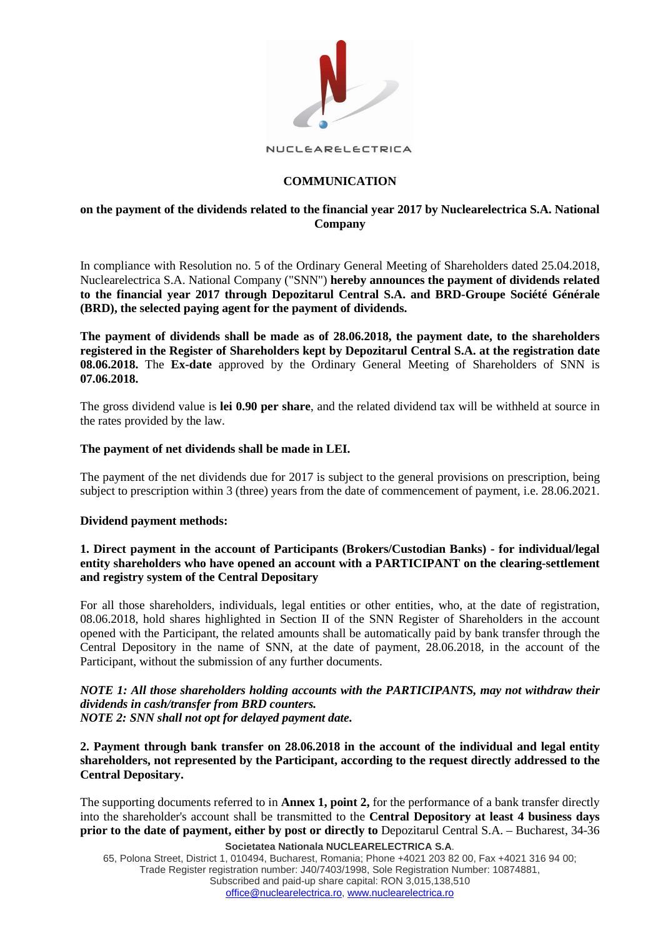

NUCLEARELECTRICA

## **COMMUNICATION**

## **on the payment of the dividends related to the financial year 2017 by Nuclearelectrica S.A. National Company**

In compliance with Resolution no. 5 of the Ordinary General Meeting of Shareholders dated 25.04.2018, Nuclearelectrica S.A. National Company ("SNN") **hereby announces the payment of dividends related to the financial year 2017 through Depozitarul Central S.A. and BRD-Groupe Société Générale (BRD), the selected paying agent for the payment of dividends.**

**The payment of dividends shall be made as of 28.06.2018, the payment date, to the shareholders registered in the Register of Shareholders kept by Depozitarul Central S.A. at the registration date 08.06.2018.** The **Ex-date** approved by the Ordinary General Meeting of Shareholders of SNN is **07.06.2018.** 

The gross dividend value is **lei 0.90 per share**, and the related dividend tax will be withheld at source in the rates provided by the law.

### **The payment of net dividends shall be made in LEI.**

The payment of the net dividends due for 2017 is subject to the general provisions on prescription, being subject to prescription within 3 (three) years from the date of commencement of payment, i.e. 28.06.2021.

### **Dividend payment methods:**

## **1. Direct payment in the account of Participants (Brokers/Custodian Banks) - for individual/legal entity shareholders who have opened an account with a PARTICIPANT on the clearing-settlement and registry system of the Central Depositary**

For all those shareholders, individuals, legal entities or other entities, who, at the date of registration, 08.06.2018, hold shares highlighted in Section II of the SNN Register of Shareholders in the account opened with the Participant, the related amounts shall be automatically paid by bank transfer through the Central Depository in the name of SNN, at the date of payment, 28.06.2018, in the account of the Participant, without the submission of any further documents.

# *NOTE 1: All those shareholders holding accounts with the PARTICIPANTS, may not withdraw their dividends in cash/transfer from BRD counters.*

*NOTE 2: SNN shall not opt for delayed payment date.*

**2. Payment through bank transfer on 28.06.2018 in the account of the individual and legal entity shareholders, not represented by the Participant, according to the request directly addressed to the Central Depositary.**

The supporting documents referred to in **Annex 1, point 2,** for the performance of a bank transfer directly into the shareholder's account shall be transmitted to the **Central Depository at least 4 business days prior to the date of payment, either by post or directly to** Depozitarul Central S.A. – Bucharest, 34-36

**Societatea Nationala NUCLEARELECTRICA S.A**.

65, Polona Street, District 1, 010494, Bucharest, Romania; Phone +4021 203 82 00, Fax +4021 316 94 00; Trade Register registration number: J40/7403/1998, Sole Registration Number: 10874881, Subscribed and paid-up share capital: RON 3,015,138,510 [office@nuclearelectrica.ro,](mailto:office@nuclearelectrica.ro) [www.nuclearelectrica.ro](http://www.nuclearelectrica.ro/)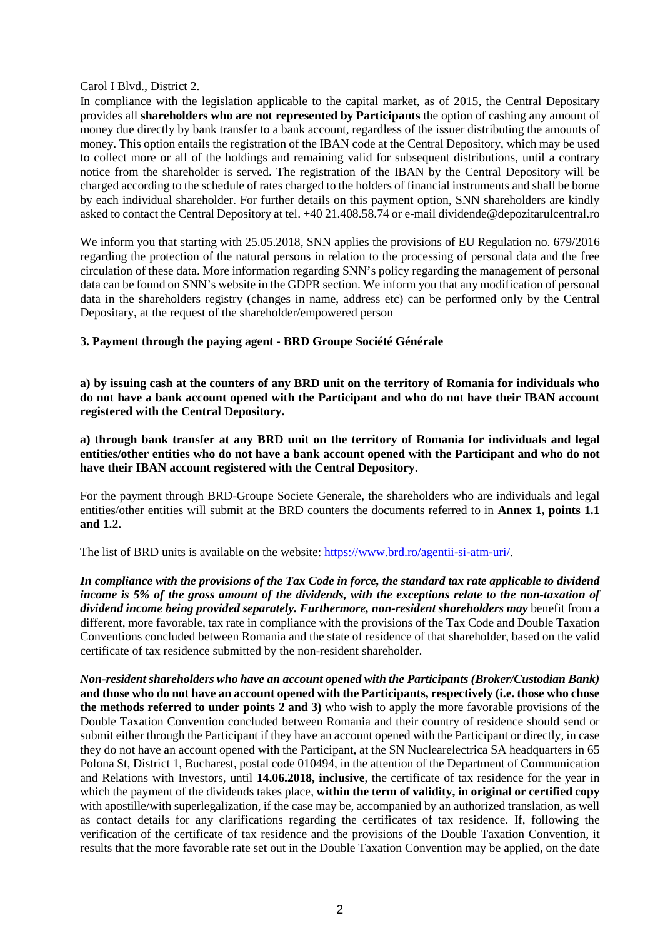Carol I Blvd., District 2.

In compliance with the legislation applicable to the capital market, as of 2015, the Central Depositary provides all **shareholders who are not represented by Participants** the option of cashing any amount of money due directly by bank transfer to a bank account, regardless of the issuer distributing the amounts of money. This option entails the registration of the IBAN code at the Central Depository, which may be used to collect more or all of the holdings and remaining valid for subsequent distributions, until a contrary notice from the shareholder is served. The registration of the IBAN by the Central Depository will be charged according to the schedule of rates charged to the holders of financial instruments and shall be borne by each individual shareholder. For further details on this payment option, SNN shareholders are kindly asked to contact the Central Depository at tel. +40 21.408.58.74 or e-mail dividende@depozitarulcentral.ro

We inform you that starting with 25.05.2018, SNN applies the provisions of EU Regulation no. 679/2016 regarding the protection of the natural persons in relation to the processing of personal data and the free circulation of these data. More information regarding SNN's policy regarding the management of personal data can be found on SNN's website in the GDPR section. We inform you that any modification of personal data in the shareholders registry (changes in name, address etc) can be performed only by the Central Depositary, at the request of the shareholder/empowered person

**3. Payment through the paying agent - BRD Groupe Société Générale**

**a) by issuing cash at the counters of any BRD unit on the territory of Romania for individuals who do not have a bank account opened with the Participant and who do not have their IBAN account registered with the Central Depository.**

**a) through bank transfer at any BRD unit on the territory of Romania for individuals and legal entities/other entities who do not have a bank account opened with the Participant and who do not have their IBAN account registered with the Central Depository.**

For the payment through BRD-Groupe Societe Generale, the shareholders who are individuals and legal entities/other entities will submit at the BRD counters the documents referred to in **Annex 1, points 1.1 and 1.2.**

The list of BRD units is available on the website: [https://www.brd.ro/agentii-si-atm-uri/.](https://www.brd.ro/instrumente-utile/agentii-si-atm-uri/)

*In compliance with the provisions of the Tax Code in force, the standard tax rate applicable to dividend income is 5% of the gross amount of the dividends, with the exceptions relate to the non-taxation of dividend income being provided separately. Furthermore, non-resident shareholders may* benefit from a different, more favorable, tax rate in compliance with the provisions of the Tax Code and Double Taxation Conventions concluded between Romania and the state of residence of that shareholder, based on the valid certificate of tax residence submitted by the non-resident shareholder.

*Non-resident shareholders who have an account opened with the Participants (Broker/Custodian Bank)*  **and those who do not have an account opened with the Participants, respectively (i.e. those who chose the methods referred to under points 2 and 3)** who wish to apply the more favorable provisions of the Double Taxation Convention concluded between Romania and their country of residence should send or submit either through the Participant if they have an account opened with the Participant or directly, in case they do not have an account opened with the Participant, at the SN Nuclearelectrica SA headquarters in 65 Polona St, District 1, Bucharest, postal code 010494, in the attention of the Department of Communication and Relations with Investors, until **14.06.2018, inclusive**, the certificate of tax residence for the year in which the payment of the dividends takes place, **within the term of validity, in original or certified copy**  with apostille/with superlegalization, if the case may be, accompanied by an authorized translation, as well as contact details for any clarifications regarding the certificates of tax residence. If, following the verification of the certificate of tax residence and the provisions of the Double Taxation Convention, it results that the more favorable rate set out in the Double Taxation Convention may be applied, on the date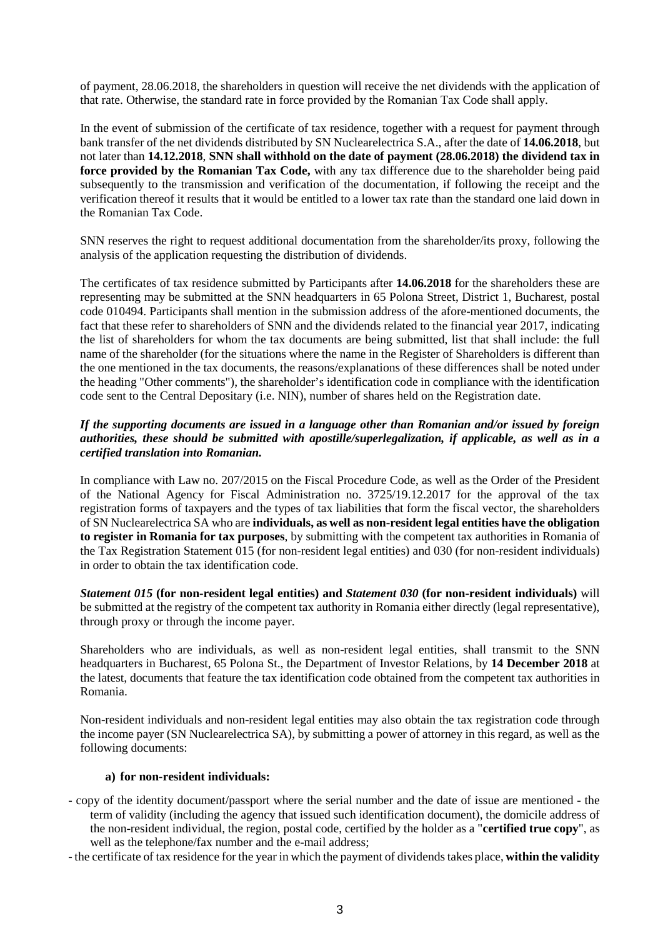of payment, 28.06.2018, the shareholders in question will receive the net dividends with the application of that rate. Otherwise, the standard rate in force provided by the Romanian Tax Code shall apply.

In the event of submission of the certificate of tax residence, together with a request for payment through bank transfer of the net dividends distributed by SN Nuclearelectrica S.A., after the date of **14.06.2018**, but not later than **14.12.2018**, **SNN shall withhold on the date of payment (28.06.2018) the dividend tax in force provided by the Romanian Tax Code,** with any tax difference due to the shareholder being paid subsequently to the transmission and verification of the documentation, if following the receipt and the verification thereof it results that it would be entitled to a lower tax rate than the standard one laid down in the Romanian Tax Code.

SNN reserves the right to request additional documentation from the shareholder/its proxy, following the analysis of the application requesting the distribution of dividends.

The certificates of tax residence submitted by Participants after **14.06.2018** for the shareholders these are representing may be submitted at the SNN headquarters in 65 Polona Street, District 1, Bucharest, postal code 010494. Participants shall mention in the submission address of the afore-mentioned documents, the fact that these refer to shareholders of SNN and the dividends related to the financial year 2017, indicating the list of shareholders for whom the tax documents are being submitted, list that shall include: the full name of the shareholder (for the situations where the name in the Register of Shareholders is different than the one mentioned in the tax documents, the reasons/explanations of these differences shall be noted under the heading "Other comments"), the shareholder's identification code in compliance with the identification code sent to the Central Depositary (i.e. NIN), number of shares held on the Registration date.

## *If the supporting documents are issued in a language other than Romanian and/or issued by foreign authorities, these should be submitted with apostille/superlegalization, if applicable, as well as in a certified translation into Romanian.*

In compliance with Law no. 207/2015 on the Fiscal Procedure Code, as well as the Order of the President of the National Agency for Fiscal Administration no. 3725/19.12.2017 for the approval of the tax registration forms of taxpayers and the types of tax liabilities that form the fiscal vector, the shareholders of SN Nuclearelectrica SA who are **individuals, as well as non-resident legal entities have the obligation to register in Romania for tax purposes**, by submitting with the competent tax authorities in Romania of the Tax Registration Statement 015 (for non-resident legal entities) and 030 (for non-resident individuals) in order to obtain the tax identification code.

*Statement 015* **(for non-resident legal entities) and** *Statement 030* **(for non-resident individuals)** will be submitted at the registry of the competent tax authority in Romania either directly (legal representative), through proxy or through the income payer.

Shareholders who are individuals, as well as non-resident legal entities, shall transmit to the SNN headquarters in Bucharest, 65 Polona St., the Department of Investor Relations, by **14 December 2018** at the latest, documents that feature the tax identification code obtained from the competent tax authorities in Romania.

Non-resident individuals and non-resident legal entities may also obtain the tax registration code through the income payer (SN Nuclearelectrica SA), by submitting a power of attorney in this regard, as well as the following documents:

### **a) for non-resident individuals:**

- copy of the identity document/passport where the serial number and the date of issue are mentioned the term of validity (including the agency that issued such identification document), the domicile address of the non-resident individual, the region, postal code, certified by the holder as a "**certified true copy**", as well as the telephone/fax number and the e-mail address;
- the certificate of tax residence for the year in which the payment of dividends takes place, **within the validity**